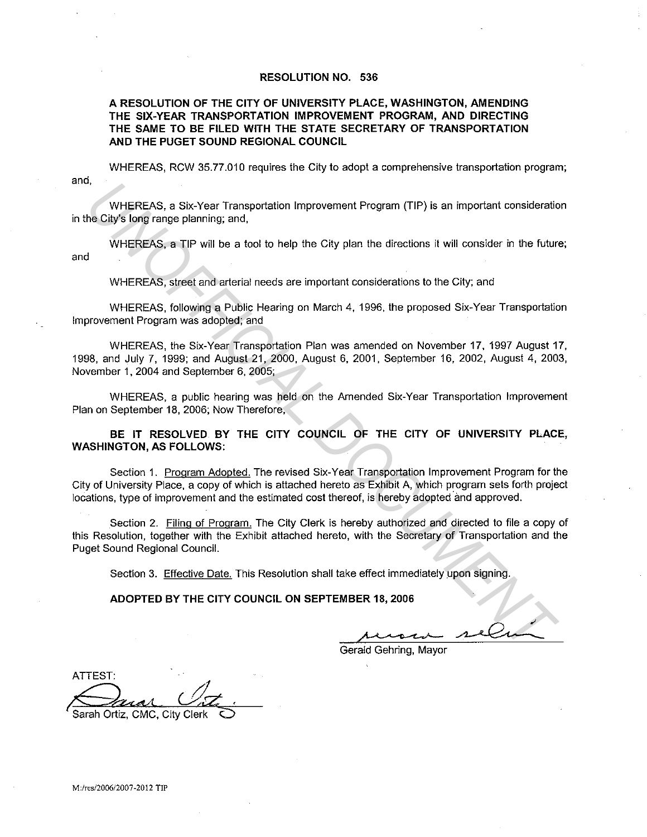## **RESOLUTION NO. 536**

# **A RESOLUTION OF THE CITY OF UNIVERSITY PLACE, WASHINGTON, AMENDING THE SIX-YEAR TRANSPORTATION IMPROVEMENT PROGRAM, AND DIRECTING THE SAME TO BE FILED WITH THE STATE SECRETARY OF TRANSPORTATION AND THE PUGET SOUND REGIONAL COUNCIL**

and, WHEREAS, RCW 35.77.010 requires the City to adopt a comprehensive transportation program;

WHEREAS, a Six-Year Transportation Improvement Program (TIP} is an important consideration in the City's long range planning; and,

WHEREAS, a TIP will be a tool to help the City plan the directions it will consider in the future; and

WHEREAS, street and arterial needs are important considerations to the City; and

WHEREAS, following a Public Hearing on March 4, 1996, the proposed Six-Year Transportation Improvement Program was adopted; and

WHEREAS, the Six-Year Transportation Plan was amended on November 17, 1997 August 17, 1998, and July 7, 1999; and August 21, 2000, August 6, 2001, September 16, 2002, August 4, 2003, November 1, 2004 and September 6, 2005;

WHEREAS, a public hearing was held on the Amended Six-Year Transportation Improvement Plan on September 18, 2006; Now Therefore,

**BE IT RESOLVED BY THE CITY COUNCIL OF THE CITY OF UNIVERSITY PLACE, WASHINGTON, AS FOLLOWS:** 

Section 1. Program Adopted. The revised Six-Year Transportation Improvement Program for the City of University Place, a copy of which is attached hereto as Exhibit A, which program sets forth project locations, type of improvement and the estimated cost thereof, is hereby adopted and approved. WHEREAS, a Six-Year Transportation Improvement Program (TIP) is an important consideration<br> **INCREAS, a TIP** will be a tool to help the City plan the directions it will consider in the future<br>
WHEREAS, are the a tool to he

Section 2. Filing of Program. The City Clerk is hereby authorized and directed to file a copy of this Resolution, together with the Exhibit attached hereto, with the Secretary of Transportation and the Puget Sound Regional Council.

Section 3. Effective Date. This Resolution shall take effect immediately upon signing.

**ADOPTED BY THE CITY COUNCIL ON SEPTEMBER 18, 2006** 

Gerald Gehring, Mayor

ATTEST: Sarah Ortiz, CMC, City Clerk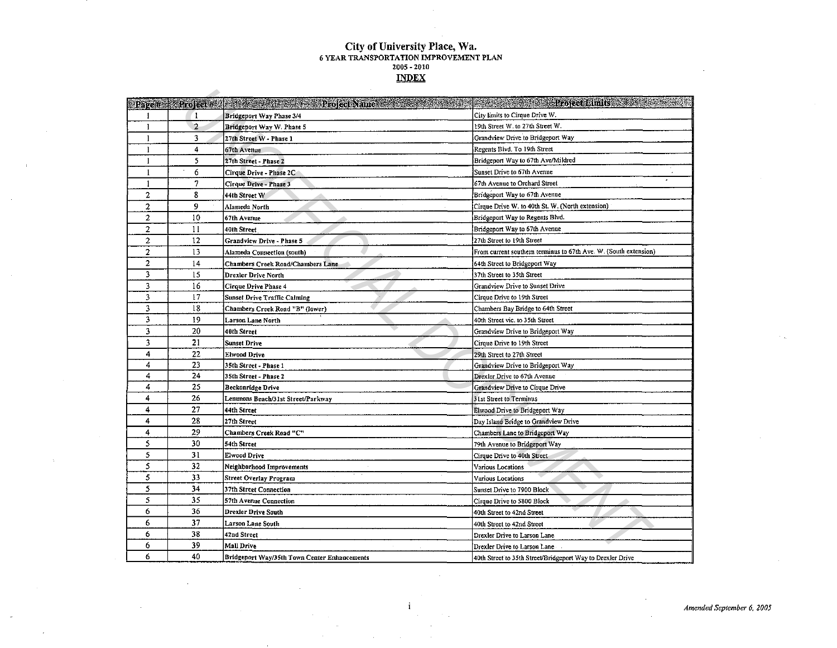# City of University Place, Wa. 6 YEAR TRANSPORTATION IMPROVEMENT PLAN 2005 - 2010<br>**INDEX**

|                |                | Rage#   Lioject#   Listen   Lioject Name   Lioject Name   Lioject Name   Lioject Name   Lioject Name | <b>Experience of Project Limits</b>                              |
|----------------|----------------|------------------------------------------------------------------------------------------------------|------------------------------------------------------------------|
| 1              | 1              | Bridgeport Way Phase 3/4                                                                             | City limits to Cirque Drive W.                                   |
| $\mathbf{1}$   | $\overline{2}$ | Bridgeport Way W. Phase 5                                                                            | 19th Street W. to 27th Street W.                                 |
| 1              | 3              | 27th Street W - Phase 1                                                                              | Grandview Drive to Bridgeport Way                                |
| $\mathbf{1}$   | 4              | 67th Avenue                                                                                          | Regents Bivd. To 19th Street                                     |
| 1              | 5              | 27th Street - Phase 2                                                                                | Bridgeport Way to 67th Ave/Mildred                               |
|                | 6              | Cirque Drive - Phase 2C                                                                              | Sunset Drive to 67th Avenue                                      |
| 1              | 7              | Cirque Drive - Phase 3                                                                               | 67th Avenue to Orchard Street                                    |
| $\overline{2}$ | 8              | 44th Street W                                                                                        | Bridgeport Way to 67th Avenue                                    |
| 2              | 9              | Alameda North                                                                                        | Cirque Drive W. to 40th St. W. (North extension)                 |
| $\overline{c}$ | 10             | 67th Avenue                                                                                          | Bridgeport Way to Regents Blvd.                                  |
| 2              | 11             | 40th Street                                                                                          | Bridgeport Way to 67th Avenue                                    |
| $\mathfrak{p}$ | 12             | Grandview Drive - Phase 5                                                                            | 27th Street to 19th Street                                       |
| $\overline{2}$ | 13             | Alameda Connection (south)                                                                           | From current southern terminus to 67th Ave. W. (South extension) |
| $\overline{2}$ | 14             | Chambers Creek Road/Chambers Lane                                                                    | 64th Street to Bridgeport Way                                    |
| 3              | 15             | Drexler Drive North                                                                                  | 37th Street to 35th Street                                       |
| 3              | 16             | Cirque Drive Phase 4                                                                                 | Grandview Drive to Sunset Drive                                  |
| 3              | 17             | Sunset Drive Traffic Calming                                                                         | Cirque Drive to 19th Street                                      |
| 3              | 18             | Chambers Creek Road "B" (lower)                                                                      | Chambers Bay Bridge to 64th Street                               |
| 3              | 19             | Larson Lane North                                                                                    | 40th Street vic. to 35th Street                                  |
| 3              | 20             | 40th Street                                                                                          | Grandview Drive to Bridgeport Way                                |
| 3              | 21             | <b>Sunset Drive</b>                                                                                  | Cirque Drive to 19th Street                                      |
| 4              | 22             | Elwood Drive                                                                                         | 29th Street to 27th Street                                       |
| 4              | 23             | 35th Street - Phase 1                                                                                | Grandview Drive to Bridgeport Way                                |
| 4              | 24             | 35th Street - Phase 2                                                                                | Drexler Drive to 67th Avenue                                     |
| 4              | 25             | <b>Beckonridge Drive</b>                                                                             | Grandview Drive to Cirque Drive                                  |
| 4              | 26             | Lemmons Beach/31st Street/Parkway                                                                    | 31st Street to Terminus                                          |
| 4              | 27             | 44th Street                                                                                          | Elwood Drive to Bridgeport Way                                   |
| 4              | 28             | 27th Street                                                                                          | Day Island Bridge to Grandview Drive                             |
| 4              | 29             | Chambers Creek Road "C"                                                                              | Chambers Lane to Bridgeport Way                                  |
| 5              | 30             | 54th Street                                                                                          | 79th Avenue to Bridgeport Way                                    |
| 5              | 31             | Elwood Drive                                                                                         | Cirque Drive to 40th Street                                      |
| 5              | 32             | Neighborhood Improvements                                                                            | Various Locations                                                |
| 5              | 33             | Street Overlay Program                                                                               | Various Locations                                                |
| 5              | 34             | 37th Street Connection                                                                               | Sunset Drive to 7900 Block                                       |
| 5              | 35             | 57th Avenue Connection                                                                               | Cirque Drive to 5800 Block                                       |
| 6              | 36             | <b>Drexler Drive South</b>                                                                           | 40th Street to 42nd Street                                       |
| 6              | 37             | Larson Lane South                                                                                    | 40th Street to 42nd Street                                       |
| 6              | 38             | 42nd Street                                                                                          | Drexler Drive to Larson Lane                                     |
| 6              | 39             | Mall Drive                                                                                           | Drexler Drive to Larson Lane                                     |
| 6              | 40             | Bridgeport Way/35th Town Center Enhancements                                                         | 40th Street to 35th Street/Bridgeport Way to Drexler Drive       |

 $\blacksquare$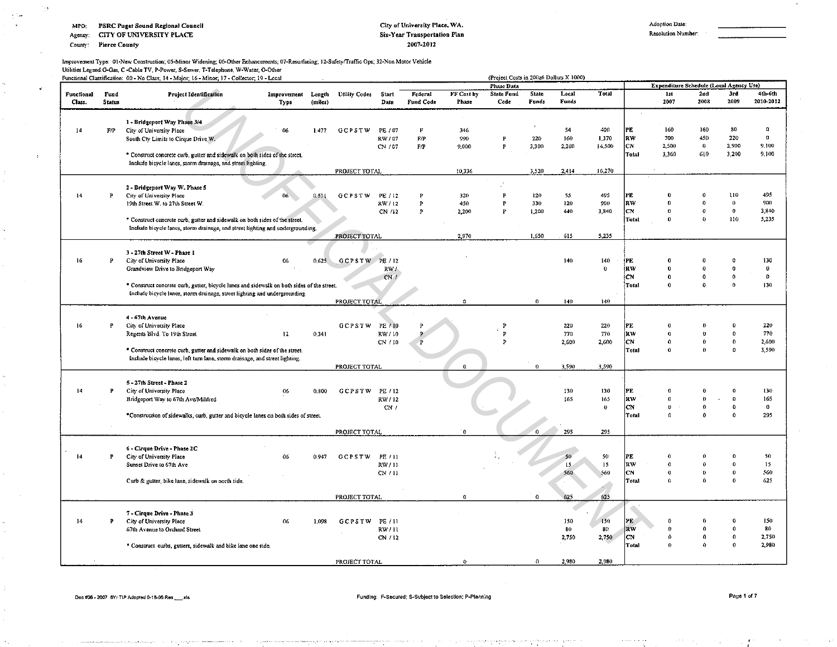#### PSRC Puget Sound Regional Council MPO:

CITY OF UNIVERSITY PLACE Agency:

County: Pierce County

#### City of University Place, WA. Six-Year Transportation Plan 2007-2012

Resolution Number:

#### Improvement Type: 01-New Construction; 05-Minor Widening; 06-Other Enhancements; 07-Resurfacing; 12-Safety/Traffic Ops; 32-Non Motor Vehicle Utilities Legend:G-Gas, C -Cable TV, P-Power, S-Sewer, T-Telephone, W-Water, O-Other

|                      |                       | Functional Classification: 00 - No Class; 14 - Major; 16 - Minor; 17 - Collector; 19 - Local |                     |                   |                      |               |                      |                     | (Project Costs in 200z6 Dollars X 1000) |                |                |                    |                        |                                         |                         |                      |                      |
|----------------------|-----------------------|----------------------------------------------------------------------------------------------|---------------------|-------------------|----------------------|---------------|----------------------|---------------------|-----------------------------------------|----------------|----------------|--------------------|------------------------|-----------------------------------------|-------------------------|----------------------|----------------------|
|                      |                       |                                                                                              |                     |                   |                      |               |                      |                     | Phase Data                              |                |                |                    |                        | Expenditure Schedule (Local Agency Use) |                         |                      |                      |
| Functional<br>Class. | Fund<br><b>Status</b> | <b>Project Identification</b>                                                                | Improvement<br>Type | Length<br>(miles) | <b>Utility Codes</b> | Start<br>Date | Federal<br>Fund Code | FF Cost by<br>Phase | State Fund<br>Code                      | State<br>Funds | Local<br>Funds | Total              |                        | 1st<br>2007                             | $2$ ad<br>2008          | 3rd<br>2009          | 4th-6th<br>2010-2012 |
|                      |                       |                                                                                              |                     |                   |                      |               |                      |                     |                                         |                |                |                    |                        |                                         |                         |                      |                      |
|                      |                       | 1 - Bridgeport Way Phase 3/4                                                                 |                     |                   |                      |               |                      |                     |                                         |                |                |                    |                        |                                         |                         |                      |                      |
| 14                   | F/P                   | City of University Place                                                                     | 06                  | 1.477             | <b>GCPSTW</b>        | PE / 07       | F                    | 346                 |                                         |                | 54             | 400                | PE                     | 160                                     | 160                     | 80                   | $\theta$             |
|                      |                       | South Cty Limits to Cirque Drive W.                                                          |                     |                   |                      | RW / 07       | F/P                  | 990                 | $\mathbf{P}$                            | 220            | 160            | 1,370              | RW                     | 700                                     | 450                     | 220                  | $\theta$             |
|                      |                       |                                                                                              |                     |                   |                      | CN / 07       | F/P                  | 9,000               | P                                       | 3,300          | 2,200          | 14.500             | <b>CN</b>              | 2,500                                   | $\pmb{0}$               | 2,900                | 9,100                |
|                      |                       | * Construct concrete curb, gutter and sidewalk on both sides of the street.                  |                     |                   |                      |               |                      |                     |                                         |                |                |                    | Total                  | 3,360                                   | 610                     | 3 200                | 9.100                |
|                      |                       | Include bicycle lanes, storm drainage, and street lighting.                                  |                     |                   |                      |               |                      |                     |                                         |                |                |                    |                        |                                         |                         |                      |                      |
|                      |                       |                                                                                              |                     |                   | PROJECT TOTAL        |               |                      | 10,336              |                                         | 3,520          | 2.414          | 16.270             |                        |                                         |                         |                      |                      |
|                      |                       |                                                                                              |                     |                   |                      |               |                      |                     |                                         |                |                |                    |                        |                                         |                         |                      |                      |
|                      |                       | 2 - Bridgeport Way W. Phase 5                                                                |                     |                   |                      |               |                      |                     |                                         |                |                |                    |                        |                                         |                         |                      |                      |
| 14                   | P                     | City of University Place                                                                     | 06                  | 0.511             | GCPSTW               | PE / 12       |                      | 320                 |                                         | 120            | 55             | 495                | PF                     | Ð                                       | $\theta$                | 110                  | 495                  |
|                      |                       | 19th Street W. to 27th Street W.                                                             |                     |                   |                      | RW/12         | P                    | 450                 |                                         | 330            | 120            | 900                | $\mathbf{R}\mathbf{W}$ | $\Omega$<br>$\Omega$                    | $\theta$<br>$\mathbf 0$ | $\theta$<br>$\theta$ | 900                  |
|                      |                       |                                                                                              |                     |                   |                      | CN /12        | P                    | 2,200               |                                         | 1,200          | 440            | 3,340              | CN                     | 0                                       | $\theta$                | 110                  | 3,840                |
|                      |                       | * Construct concrete curb, gutter and sidewalk on both sides of the street.                  |                     |                   |                      |               |                      |                     |                                         |                |                |                    | Total                  |                                         |                         |                      | 5,235                |
|                      |                       | Include bicycle lanes, storm drainage, and street lighting and undergrounding.               |                     |                   |                      |               |                      | 2,970               |                                         | 1,650          | 615            | 5,235              |                        |                                         |                         |                      |                      |
|                      |                       |                                                                                              |                     |                   | PROJECT TOTAL        |               |                      |                     |                                         |                |                |                    |                        |                                         |                         |                      |                      |
|                      |                       | 3 - 27th Street W - Phase 1                                                                  |                     |                   |                      |               |                      |                     |                                         |                |                |                    |                        |                                         |                         |                      |                      |
| 16                   | Þ                     | City of University Place                                                                     | 06                  | 0.625             | GCPSTW PE/12         |               |                      |                     |                                         |                | 140            | 140                | PE.                    | n                                       |                         |                      | 130                  |
|                      |                       | Grandview Drive to Bridgeport Way                                                            |                     |                   |                      | RW/           |                      |                     |                                         |                |                | $\mathbf{0}$       | <b>RW</b>              | $\bf{0}$                                | $\Omega$                |                      | $\bf{0}$             |
|                      |                       |                                                                                              |                     |                   |                      | CN/L          |                      |                     |                                         |                |                |                    | <b>CN</b>              | $\boldsymbol{0}$                        | $\mathbf{0}$            | $\theta$             | $\theta$             |
|                      |                       | * Construct concrete curb, gutter, bicycle lanes and sidewalk on both sides of the street.   |                     |                   |                      |               |                      |                     |                                         |                |                |                    | Total                  | $\theta$                                | $\Omega$                | $\Omega$             | 130                  |
|                      |                       | Include bicycle lanes, storm drainage, street lighting and undergrounding.                   |                     |                   |                      |               |                      |                     |                                         |                |                |                    |                        |                                         |                         |                      |                      |
|                      |                       |                                                                                              |                     |                   | PROJECT TOTAL        |               |                      | $\mathbf{0}$        |                                         | $\Omega$       | 140            | 140                |                        |                                         |                         |                      |                      |
|                      |                       |                                                                                              |                     |                   |                      |               |                      |                     |                                         |                |                |                    |                        |                                         |                         |                      |                      |
|                      |                       | 4 - 67th Avenue                                                                              |                     |                   |                      |               |                      |                     |                                         |                |                |                    |                        |                                         |                         |                      |                      |
| 16                   | P                     | City of University Place                                                                     |                     |                   | <b>GCPSTW</b>        | PE / 10       |                      |                     |                                         |                | 220            | 220                | PE                     | Ð                                       |                         |                      | 220                  |
|                      |                       | Regents Blvd. To 19th Street                                                                 | 12                  | 0,341             |                      | RW / 10       |                      |                     |                                         |                | 770            | 770                | RW                     | $\theta$                                | $\mathbf{a}$            | $\Omega$             | 770                  |
|                      |                       |                                                                                              |                     |                   |                      | CN / 10       |                      |                     |                                         |                | 2.600          | 2,600              | lcN.                   | $\Omega$                                | $\bf{0}$                | $\Omega$             | 2,600                |
|                      |                       | * Construct concrete curb, gutter and sidewalk on both sides of the street.                  |                     |                   |                      |               |                      |                     |                                         |                |                |                    | Total                  | $\theta$                                | $\mathbf{0}$            | $\theta$             | 3,590                |
|                      |                       | Include bicycle lanes, left turn lane, storm drainage, and street lighting.                  |                     |                   |                      |               |                      |                     |                                         |                |                |                    |                        |                                         |                         |                      |                      |
|                      |                       |                                                                                              |                     |                   | PROJECT TOTAL        |               |                      | $\Omega$            |                                         | $\mathbf 0$    | 3,590          | 3,590              |                        |                                         |                         |                      |                      |
|                      |                       |                                                                                              |                     |                   |                      |               |                      |                     |                                         |                |                |                    |                        |                                         |                         |                      |                      |
|                      |                       | 5 - 27th Street - Phase 2                                                                    |                     |                   |                      |               |                      |                     |                                         |                |                |                    |                        |                                         |                         |                      |                      |
| 14                   | P                     | City of University Place                                                                     | 06                  | 0.800             | <b>GCPSTW</b>        | PE / 12       |                      |                     |                                         |                | 130            | 130                | PE                     | n                                       |                         |                      | 130                  |
|                      |                       | Bridgeport Way to 67th Ave/Mildred                                                           |                     |                   |                      | RW / 12       |                      |                     |                                         |                | 165            | 165                | RW                     | $\Omega$                                | $\bf{0}$                | $\Omega$             | 165                  |
|                      |                       |                                                                                              |                     |                   |                      | CN/           |                      |                     |                                         |                |                | $\pmb{\mathrm{o}}$ | <b>CN</b>              | $\theta$                                | $\bf{0}$                | $\Omega$             | $\theta$             |
|                      |                       | *Construction of sidewalks, curb, gutter and bicycle lanes on both sides of street.          |                     |                   |                      |               |                      |                     |                                         |                |                |                    | Total                  | $\Omega$                                | $\Omega$                | $\Omega$             | 295                  |
|                      |                       |                                                                                              |                     |                   |                      |               |                      | $\theta$            |                                         | $\Omega$       | 295            |                    |                        |                                         |                         |                      |                      |
|                      |                       |                                                                                              |                     |                   | PROJECT TOTAL        |               |                      |                     |                                         |                |                | 295                |                        |                                         |                         |                      |                      |
|                      |                       | 6 - Cirque Drive - Phase 2C                                                                  |                     |                   |                      |               |                      |                     |                                         |                |                |                    |                        |                                         |                         |                      |                      |
| 14                   | Þ                     | City of University Place                                                                     | 06                  | 0.947             | <b>GCPSTW</b>        | PE / 11       |                      |                     |                                         |                | 50             | 50                 | PE                     | $\Omega$                                |                         |                      | 50                   |
|                      |                       | Sunset Drive to 67th Ave                                                                     |                     |                   |                      | RW/11         |                      |                     |                                         |                | 15             | 15                 | <b>RW</b>              | $\theta$                                | $\boldsymbol{\theta}$   | $\Omega$             | 15 <sub>1</sub>      |
|                      |                       |                                                                                              |                     |                   |                      | CN / 11       |                      |                     |                                         |                | 560            | 560                | CN                     | $\theta$                                | $\theta$                | $\Omega$             | 560                  |
|                      |                       | Curb & gutter, bike lane, sidewalk on north side.                                            |                     |                   |                      |               |                      |                     |                                         |                |                |                    | Total                  | $\Omega$                                | $\Omega$                | Ð                    | 625                  |
|                      |                       |                                                                                              |                     |                   |                      |               |                      |                     |                                         |                |                |                    |                        |                                         |                         |                      |                      |
|                      |                       |                                                                                              |                     |                   | PROJECT TOTAL        |               |                      | $\Omega$            |                                         | 0              | 625            | 625                |                        |                                         |                         |                      |                      |
|                      |                       |                                                                                              |                     |                   |                      |               |                      |                     |                                         |                |                |                    |                        |                                         |                         |                      |                      |
|                      |                       | 7 - Cirque Drive - Phase 3                                                                   |                     |                   |                      |               |                      |                     |                                         |                |                |                    |                        |                                         |                         |                      |                      |
| 14                   | P                     | City of University Place                                                                     | 06                  | 1.098             | <b>GCPSTW</b>        | PE / 11       |                      |                     |                                         |                | 150            | 150                | PE                     | $\Omega$                                |                         |                      | 150                  |
|                      |                       | 67th Avenue to Orchard Street                                                                |                     |                   |                      | RW/11         |                      |                     |                                         |                | 80             | 80                 | RW                     | $\Omega$                                | Ó                       | $\theta$             | 80                   |
|                      |                       |                                                                                              |                     |                   |                      | CN / 12       |                      |                     |                                         |                | 2,750          | 2,750              | <b>CN</b>              | $\Omega$                                | 0                       | $\boldsymbol{0}$     | 2,750                |
|                      |                       | * Construct curbs, gutters, sidewalk and bike lane one side.                                 |                     |                   |                      |               |                      |                     |                                         |                |                |                    | <b>Total</b>           | $\Omega$                                | ۵                       | $\Omega$             | 2,980                |
|                      |                       |                                                                                              |                     |                   |                      |               |                      |                     |                                         |                |                |                    |                        |                                         |                         |                      |                      |
|                      |                       |                                                                                              |                     |                   | PROJECT TOTAL        |               |                      | $\theta$            |                                         | $\mathbf{a}$   | 2.980          | 2.980              |                        |                                         |                         |                      |                      |

#### Funding: F-Secured; S-Subject to Selection; P-Planning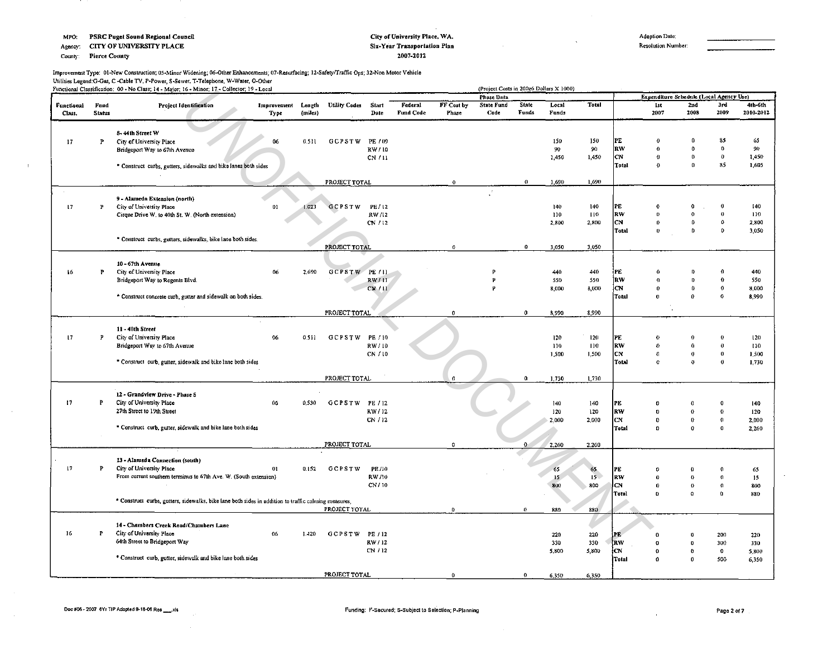Agency: CITY OF UNIVERSITY PLACE

County: Pierce County

 $\mathcal{A}$ 

 $\sim$ 

#### City of University Place, WA. Six-Year Transportation Plan 2007-2012

Adoption Date:

Resolution Number:

Improvement Type: 01-New Construction; 05-Minor Widening; 06-Other Enhancements; 07-Resurfacing; 12-Safety/Traffic Ops; 32-Non Motor Vehicle<br>Utilities Legend:G-Gas, C -Cable TV, P-Power, S-Sewer, T-Telephone, W-Water, O-Ot

|                             |                       | Functional Classification: 00 - No Class; 14 - Major; 16 - Minor; 17 - Collector; 19 - Local         |                     |                   |                      |               |                             |                     | (Project Costs in 200z6 Dollars X 1000)<br>Phase Data |                       |                |                 |            | Expenditure Schedule (Local Agency Use) |              |              |                      |
|-----------------------------|-----------------------|------------------------------------------------------------------------------------------------------|---------------------|-------------------|----------------------|---------------|-----------------------------|---------------------|-------------------------------------------------------|-----------------------|----------------|-----------------|------------|-----------------------------------------|--------------|--------------|----------------------|
| <b>Functional</b><br>Class. | Fund<br><b>Status</b> | <b>Project Identification</b>                                                                        | Improvement<br>Type | Length<br>(miles) | <b>Utility Codes</b> | Start<br>Date | Federal<br><b>Fund Code</b> | FF Cost by<br>Phase | <b>State Fund</b><br>Code                             | <b>State</b><br>Funds | Local<br>Funds | <b>Total</b>    |            | 1st<br>2007                             | 2nd<br>2008  | 3rd<br>2009  | 4th-6th<br>2010-2012 |
|                             |                       |                                                                                                      |                     |                   |                      |               |                             |                     |                                                       |                       |                |                 |            |                                         |              |              |                      |
|                             |                       | 8-44th Street W                                                                                      |                     |                   |                      |               |                             |                     |                                                       |                       |                |                 |            |                                         |              |              |                      |
| 17                          | P                     | City of University Place                                                                             | 06                  | 0.511             | <b>GCPSTW</b>        | PE / 09       |                             |                     |                                                       |                       | 150            | 150             | PE         | $\theta$                                | $\Omega$     | 85           | 65                   |
|                             |                       | Bridgeport Way to 67th Avenue                                                                        |                     |                   |                      | RW/10         |                             |                     |                                                       |                       | 90             | 90              | RW         | $\mathbf{a}$                            | $\Omega$     | $\Omega$     | 90                   |
|                             |                       |                                                                                                      |                     |                   |                      | CN/11         |                             |                     |                                                       |                       | 1,450          | 1,450           | lcn.       | $\theta$                                | $\bf{0}$     | $\mathbf{0}$ | 1,450                |
|                             |                       | * Construct curbs, gutters, sidewalks and bike lanes both sides                                      |                     |                   |                      |               |                             |                     |                                                       |                       |                |                 | Total      | $\theta$                                | $\mathbf{0}$ | 85           | 1,605                |
|                             |                       |                                                                                                      |                     |                   | PROJECT TOTAL        |               |                             | $\alpha$            |                                                       | $\mathbf{0}$          | 1,690          | 1,690           |            |                                         |              |              |                      |
|                             |                       |                                                                                                      |                     |                   |                      |               |                             |                     |                                                       |                       |                |                 |            |                                         |              |              |                      |
| 17                          | P                     | 9 - Alameda Extension (north)<br>City of University Place                                            | 01                  | 1.023             | GCPSTW               | PE / 12       |                             |                     |                                                       |                       | 140            | 140             | PE         | $\theta$                                | 0            | O            | 140                  |
|                             |                       | Cirque Drive W. to 40th St. W. (North extension)                                                     |                     |                   |                      | RW/12         |                             |                     |                                                       |                       | 110            | 110             | RW         | $\Omega$                                | O            | 0            | 110                  |
|                             |                       |                                                                                                      |                     |                   |                      | CN / 12       |                             |                     |                                                       |                       | 2,800          | 2,800           | CN.        | $\mathbf{0}$                            | Ω            | $\Omega$     | 2,800                |
|                             |                       |                                                                                                      |                     |                   |                      |               |                             |                     |                                                       |                       |                |                 | Total      | $\Omega$                                | 0            | $\theta$     | 3,050                |
|                             |                       | * Construct curbs, gutters, sidewalks, bike lane both sides.                                         |                     |                   |                      |               |                             |                     |                                                       |                       |                |                 |            |                                         |              |              |                      |
|                             |                       |                                                                                                      |                     |                   | PROJECT TOTAL        |               |                             | $\Omega$            |                                                       | 0                     | 3,050          | 3,050           |            |                                         |              |              |                      |
|                             |                       |                                                                                                      |                     |                   |                      |               |                             |                     |                                                       |                       |                |                 |            |                                         |              |              |                      |
|                             |                       | 10 - 67th Avenue                                                                                     |                     |                   |                      |               |                             |                     |                                                       |                       |                |                 |            |                                         |              |              |                      |
| 16                          | P                     | City of University Place                                                                             | 06                  | 2,690             | GCPSTW PE/11         |               |                             |                     | Þ                                                     |                       | 440            | 440             | ipe.       | $\Omega$                                | D            |              | 440                  |
|                             |                       | Bridgeport Way to Regents Blvd.                                                                      |                     |                   |                      | RW/11         |                             |                     | p                                                     |                       | 550            | 550             | lrw        | $\theta$                                | D            | o            | 550                  |
|                             |                       |                                                                                                      |                     |                   |                      | CM/11         |                             |                     | p                                                     |                       | 8,000          | 8,000           | lcn        | $\Omega$                                | O.           | $\Omega$     | 8,000                |
|                             |                       | * Construct concrete curb, gutter and sidewalk on both sides.                                        |                     |                   |                      |               |                             |                     |                                                       |                       |                |                 | Total      | $\mathbf{0}$                            | $\Omega$     | $\theta$     | 8,990                |
|                             |                       |                                                                                                      |                     |                   |                      |               |                             |                     |                                                       |                       |                |                 |            |                                         |              |              |                      |
|                             |                       |                                                                                                      |                     |                   | PROJECT TOTAL        |               |                             | $\mathbf{0}$        |                                                       | $\bf{0}$              | 8,990          | 8,990           |            |                                         |              |              |                      |
|                             |                       | 11 - 40th Street                                                                                     |                     |                   |                      |               |                             |                     |                                                       |                       |                |                 |            |                                         |              |              |                      |
| 17                          | P                     | City of University Place                                                                             | 06                  | 0.511             | <b>GCPSTW</b>        | PE / 10       |                             |                     |                                                       |                       | 120            | 120             | lpe.       | €                                       |              |              | 120                  |
|                             |                       | Bridgeport Way to 67th Avenue                                                                        |                     |                   |                      | RW/10         |                             |                     |                                                       |                       | 110            | 110             | RW         | $\Omega$                                | $\theta$     | $\theta$     | $110 -$              |
|                             |                       |                                                                                                      |                     |                   |                      | CN / 10       |                             |                     |                                                       |                       | 1,500          | 1,500           | CN.        | $\Omega$                                | $\bf{0}$     | $\Omega$     | 1,500                |
|                             |                       | * Construct curb, gutter, sidewalk and bike lane both sides                                          |                     |                   |                      |               |                             |                     |                                                       |                       |                |                 | Total      | $\Omega$                                | $\mathbf{a}$ | $\Omega$     | 1,730                |
|                             |                       |                                                                                                      |                     |                   |                      |               |                             |                     |                                                       |                       |                |                 |            |                                         |              |              |                      |
|                             |                       |                                                                                                      |                     |                   | PROJECT TOTAL        |               |                             | $\Omega$            |                                                       | $\mathbf{0}$          | 1,730          | 1,730           |            |                                         |              |              |                      |
|                             |                       |                                                                                                      |                     |                   |                      |               |                             |                     |                                                       |                       |                |                 |            |                                         |              |              |                      |
|                             |                       | 12 - Grandview Drive - Phase 5                                                                       |                     |                   |                      |               |                             |                     |                                                       |                       |                |                 |            |                                         |              |              |                      |
| 17                          | P                     | City of University Place                                                                             | 06                  | 0.530             | <b>GCPSTW</b>        | PE / 12       |                             |                     |                                                       |                       | 140            | 140             | PE)        | $\theta$                                | $\theta$     |              | 140                  |
|                             |                       | 27th Street to 19th Street                                                                           |                     |                   |                      | RW / 12       |                             |                     |                                                       |                       | 120            | 120             | law        | $\bf{0}$                                | $\mathbf{o}$ | $\theta$     | 120                  |
|                             |                       |                                                                                                      |                     |                   |                      | CN / 12       |                             |                     |                                                       |                       | 2,000          | 2,000           | lcn        | $\Omega$                                | ø            | $\Omega$     | 2,000                |
|                             |                       | * Construct curb, gutter, sidewalk and bike lane both sides                                          |                     |                   |                      |               |                             |                     |                                                       |                       |                |                 | Total      | $\theta$                                | $\mathbf{o}$ | $\Omega$     | 2,260                |
|                             |                       |                                                                                                      |                     |                   |                      |               |                             |                     |                                                       |                       |                |                 |            |                                         |              |              |                      |
|                             |                       |                                                                                                      |                     |                   | PROJECT TOTAL        |               |                             | $\Omega$            |                                                       | ≎                     | 2,260          | 2,260           |            |                                         |              |              |                      |
|                             |                       | 13 - Alameda Connection (south)                                                                      |                     |                   |                      |               |                             |                     |                                                       |                       |                |                 |            |                                         |              |              |                      |
| $\mathbf{17}$               | P                     | City of University Place                                                                             | 01                  | 0.152             | <b>GCPSTW</b>        | PE/10         |                             |                     |                                                       |                       | 65             | 65              | PE         |                                         |              |              | 65                   |
|                             |                       | From current southern terminus to 67th Ave. W. (South extension)                                     |                     |                   |                      | RW/10         |                             |                     |                                                       |                       | 15             | 15 <sub>2</sub> | RW         | $\theta$                                | $\Omega$     |              | 15                   |
|                             |                       |                                                                                                      |                     |                   |                      | CN / 10       |                             |                     |                                                       |                       | 800            | 800             | CN         | $\theta$                                | $\bullet$    | $\Omega$     | 800                  |
|                             |                       |                                                                                                      |                     |                   |                      |               |                             |                     |                                                       |                       |                |                 | Total      | $\mathbf{0}$                            | $\bullet$    | $\theta$     | 330                  |
|                             |                       | * Construct curbs, gutters, sidewalks, bike lane both sides in addition to traffic calming measures. |                     |                   |                      |               |                             |                     |                                                       |                       |                |                 |            |                                         |              |              |                      |
|                             |                       |                                                                                                      |                     |                   | PROJECT TOTAL        |               |                             | $\theta$            |                                                       | 0                     | 880            | 880             |            |                                         |              |              |                      |
|                             |                       | 14 - Chambers Creek Road/Chambers Lane                                                               |                     |                   |                      |               |                             |                     |                                                       |                       |                |                 |            |                                         |              |              |                      |
| 16                          | P                     | City of University Place                                                                             | 06                  | 1.120             | GCPSTW               | PE / 12       |                             |                     |                                                       |                       | 220            | 220             | IЕ.        |                                         | B            | 200          | 220                  |
|                             |                       | 64th Street to Bridgeport Way                                                                        |                     |                   |                      | RW / 12       |                             |                     |                                                       |                       | 330            | 330             | <b>IRW</b> | 0                                       | $\mathbf{0}$ | 300          | 330                  |
|                             |                       |                                                                                                      |                     |                   |                      | CN / 12       |                             |                     |                                                       |                       | 5,800          | 5,800           | ¦CN        | $\bf{0}$                                | $\mathbf{0}$ | $\bullet$    | 5,800                |
|                             |                       | * Construct curb, gutter, sidewalk and bike lane both sides                                          |                     |                   |                      |               |                             |                     |                                                       |                       |                |                 | Total      | 0                                       | $\theta$     | 500          |                      |
|                             |                       |                                                                                                      |                     |                   |                      |               |                             |                     |                                                       |                       |                |                 |            |                                         |              |              | 6,350                |
|                             |                       |                                                                                                      |                     |                   | PROJECT TOTAL        |               |                             | $\bf{0}$            |                                                       | $\bf{0}$              | 6,350          | 6,350           |            |                                         |              |              |                      |
|                             |                       |                                                                                                      |                     |                   |                      |               |                             |                     |                                                       |                       |                |                 |            |                                         |              |              |                      |

 $\mathbf{r}$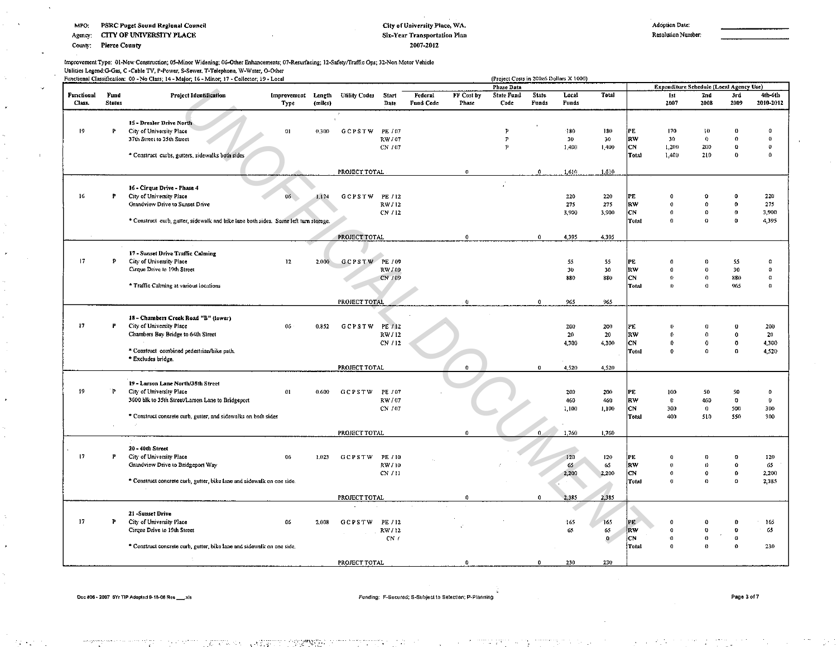Agency: CITY OF UNIVERSITY PLACE

County: Pierce County

#### City of University Place, WA. Six-Year Transportation Plan 2007-2012

Resolulion Number;

Improvement Type: Ol·New Censtruction; OS·Minor Widening; 06-0ther Enhancements; 07·Resurfacing; 12·Safety1Traffic Ops; 32·Non Motor Vehicle

Utilities Legend:G-Gas, C ·Cable TV, P·Powe.r, S·Sewer. T·Telcphone, W-Water, O·Other

|            |               | Functional Classification: 00 - No Class; 14 - Major; 16 - Minor; 17 - Collector; 19 - Local |                    |         |                      |                    |           |              | (Project Costs in 200z6 Dollars X 1000) |              |       |              |           |                                         |                          |                      |           |
|------------|---------------|----------------------------------------------------------------------------------------------|--------------------|---------|----------------------|--------------------|-----------|--------------|-----------------------------------------|--------------|-------|--------------|-----------|-----------------------------------------|--------------------------|----------------------|-----------|
|            |               |                                                                                              |                    |         |                      |                    |           |              | Phase Data                              |              |       |              |           | Expenditure Schedule (Local Agency Use) |                          |                      |           |
| Functional | Fund          | <b>Project Identification</b>                                                                | Improvement Length |         | <b>Utility Codes</b> | <b>Start</b>       | Federal   | FF Cost by   | <b>State Fund</b>                       | <b>State</b> | Local | Total        |           | 1st                                     | 2nd                      | 3rd                  | 4th-6th   |
| Class.     | <b>Status</b> |                                                                                              | Type               | (miles) |                      | Date               | Fund Code | Phase        | Code                                    | Funds        | Funds |              |           | 2007                                    | 2008                     | 2009                 | 2010-2012 |
|            |               |                                                                                              |                    |         |                      |                    |           |              |                                         |              |       |              |           |                                         |                          |                      |           |
|            |               | 15 - Drexler Drive North                                                                     |                    |         |                      |                    |           |              |                                         |              |       |              |           |                                         |                          |                      |           |
| 19         | P             | City of University Place                                                                     | 0 <sub>l</sub>     | 0.300   | GCPSTW               | PE / 07            |           |              | P                                       |              | 180   | 180          | PE        | 170                                     | ł0                       | 0                    | $\theta$  |
|            |               | 37th Street to 35th Street                                                                   |                    |         |                      | RW / 07            |           |              | P                                       |              | 30    | 30           | R.V       | 30                                      | $\mathbf{0}$             | 0                    | $\theta$  |
|            |               |                                                                                              |                    |         |                      | CN / 07            |           |              | p                                       |              | 1,400 | 1,400        | CN        | 1,200                                   | 200                      | $\bf{0}$             | 0         |
|            |               | * Construct curbs, gutters, sidewalks both sides                                             |                    |         |                      |                    |           |              |                                         |              |       |              | Total     | 1.400                                   | 210                      | $\bf{0}$             | 0         |
|            |               |                                                                                              |                    |         |                      |                    |           |              |                                         |              |       |              |           |                                         |                          |                      |           |
|            |               |                                                                                              |                    |         | PROJECT TOTAL        |                    |           | $\bf{0}$     |                                         | $\mathbf{0}$ | 1,610 | 1,610        |           |                                         |                          |                      |           |
|            |               |                                                                                              |                    |         |                      |                    |           |              |                                         |              |       |              |           |                                         |                          |                      |           |
| 16         | P             | 16 - Cirque Drive - Phase 4<br>City of University Place                                      | 06                 |         |                      |                    |           |              |                                         |              | 220   | 220          | PE        | o                                       | o                        | Ō                    | 220       |
|            |               | Grandview Drive to Sunset Drive                                                              |                    | 1.174   | GCPSTW               | PE / 12<br>RW / 12 |           |              |                                         |              | 275   | 275          | <b>RW</b> | $\Omega$                                | $\Omega$                 | $\mathbf o$          | 275       |
|            |               |                                                                                              |                    |         |                      | CN / 12            |           |              |                                         |              | 3,900 | 3.900        | lcv       | $\theta$                                | 0                        | $\mathbf{0}$         | 3,900     |
|            |               | * Construct curb, gutter, sidewalk and bike lane both sides. Some left turn storage.         |                    |         |                      |                    |           |              |                                         |              |       |              | Total     | $\Omega$                                | $\Omega$                 | $\Omega$             | 4,395     |
|            |               |                                                                                              |                    |         |                      |                    |           |              |                                         |              |       |              |           |                                         |                          |                      |           |
|            |               |                                                                                              |                    |         | PROJECT TOTAL        |                    |           | $\mathbf{0}$ |                                         | $\bf{0}$     | 4,395 | 4.395        |           |                                         |                          |                      |           |
|            |               |                                                                                              |                    |         |                      |                    |           |              |                                         |              |       |              |           |                                         |                          |                      |           |
|            |               | 17 Sunset Drive Traffic Calming                                                              |                    |         |                      |                    |           |              |                                         |              |       |              |           |                                         |                          |                      |           |
| 17         | Р             | City of University Place                                                                     | 12                 | 2,000   | GCPSTW PE / 09       |                    |           |              |                                         |              | 55    | 55           | PE        | $\Omega$                                | n                        | 55                   | Ω         |
|            |               | Cirque Drive to 19th Street                                                                  |                    |         |                      | RW / 09            |           |              |                                         |              | 30    | 30           | RW        | $\Omega$                                | $\Omega$                 | 30                   | $\theta$  |
|            |               |                                                                                              |                    |         |                      | $CN + 09$          |           |              |                                         |              | 880   | 880          | lcn       | $\bullet$                               | 0                        | 880                  | G.        |
|            |               | * Traffic Calming at various locations                                                       |                    |         |                      |                    |           |              |                                         |              |       |              | Total     | Ď.                                      | $\mathbf{0}$             | 965                  | O.        |
|            |               |                                                                                              |                    |         |                      |                    |           |              |                                         |              |       |              |           |                                         |                          |                      |           |
|            |               |                                                                                              |                    |         | PROJECT TOTAL        |                    |           | $\mathbf 0$  |                                         | $\Omega$     | 965   | 965          |           |                                         |                          |                      |           |
|            |               |                                                                                              |                    |         |                      |                    |           |              |                                         |              |       |              |           |                                         |                          |                      |           |
|            |               | 18 - Chambers Creek Road "B" (lower)                                                         |                    |         |                      |                    |           |              |                                         |              |       |              |           |                                         |                          |                      |           |
| 17         | P             | City of University Place                                                                     | 06                 | 0.852   | GCPSTW               | PE / 12            |           |              |                                         |              | 200   | 200          | PE        | $\Omega$                                | O                        | $\bf{0}$             | 200       |
|            |               | Chambers Bay Bridge to 64th Street                                                           |                    |         |                      | RW / 12            |           |              |                                         |              | 20    | 20           | lrw       | $\mathbf{0}$                            | $\mathbf{0}$             | $\mathbf 0$          | 20        |
|            |               |                                                                                              |                    |         |                      | CN / 12            |           |              |                                         |              | 4,300 | 4,300        | lcn       | Ď.<br>$\ddot{\text{o}}$                 | $\mathbf{0}$<br>$\bf{0}$ | $\bf{0}$<br>$\bf{0}$ | 4,300     |
|            |               | * Construct combined pedestrian/bike path.<br>* Excludes bridge.                             |                    |         |                      |                    |           |              |                                         |              |       |              | Total     |                                         |                          |                      | 4,520     |
|            |               |                                                                                              |                    |         | PROJECT TOTAL        |                    |           | 0            |                                         | $\bf{0}$     | 4,520 | 4.520        |           |                                         |                          |                      |           |
|            |               |                                                                                              |                    |         |                      |                    |           |              |                                         |              |       |              |           |                                         |                          |                      |           |
|            |               | 19 - Larson Lane North/35th Street                                                           |                    |         |                      |                    |           |              |                                         |              |       |              |           |                                         |                          |                      |           |
| $19 -$     | P             | City of University Place                                                                     | 01                 | 0.600   | <b>GCPSTW</b>        | PE / 07            |           |              |                                         |              | 200   | 200          | PE        | 100                                     | 50                       | 50                   | $\Omega$  |
|            |               | 3600 blk to 35th Street/Larson Lane to Bridgeport                                            |                    |         |                      | RW / 07            |           |              |                                         |              | 460   | 460          | RW        | $\pmb{0}$                               | 460                      | $\mathbf{0}$         | $\bf 0$   |
|            |               |                                                                                              |                    |         |                      | CN / 07            |           |              |                                         |              | 1,100 | 1,100        | lc٧       | 300                                     | $\bf{0}$                 | 500                  | 300       |
|            |               | * Construct concrete curb, gutter, and sidewalks on both sides                               |                    |         |                      |                    |           |              |                                         |              |       |              | Total     | 400                                     | 510                      | 550                  | 300       |
|            |               |                                                                                              |                    |         |                      |                    |           |              |                                         |              |       |              |           |                                         |                          |                      |           |
|            |               |                                                                                              |                    |         | PROJECT TOTAL        |                    |           |              |                                         |              | 1,760 | 1,760        |           |                                         |                          |                      |           |
|            |               |                                                                                              |                    |         |                      |                    |           |              |                                         |              |       |              |           |                                         |                          |                      |           |
|            |               | 20 - 40th Street                                                                             |                    |         |                      |                    |           |              |                                         |              |       |              |           |                                         |                          |                      |           |
| 17         | P             | City of University Place                                                                     | 06                 | 1.023   | <b>GCPSTW</b>        | PE / 10            |           |              |                                         |              | 120   | 120          | PE        | $\Omega$                                | 0                        | O                    | 120       |
|            |               | Grandview Drive to Bridgeport Way                                                            |                    |         |                      | RW / 10            |           |              |                                         |              | 65    | 65           | law       | $\Omega$                                | O.                       | $\mathbf{0}$         | 65        |
|            |               |                                                                                              |                    |         |                      | CN / 11            |           |              |                                         |              | 2,200 | 2,200        | icN       | $\theta$                                | $\mathbf{0}$             | 0                    | 2,200     |
|            |               | * Construct concrete curb, gutter, bike lane and sidewalk on one side.<br>$\sim$             |                    |         |                      |                    |           |              |                                         |              |       |              | Total     | O.                                      | O.                       | O.                   | 2,385     |
|            |               |                                                                                              |                    |         | PROJECT TOTAL        |                    |           |              |                                         | $\Omega$     | 2,385 | 2,385        |           |                                         |                          |                      |           |
|            |               |                                                                                              |                    |         |                      |                    |           |              |                                         |              |       |              |           |                                         |                          |                      |           |
|            |               | 21 -Sunset Drive                                                                             |                    |         |                      |                    |           |              |                                         |              |       |              |           |                                         |                          |                      |           |
| 17         | P             | City of University Place                                                                     | 06                 | 2,008   | GCPSTW               | PE / 12            |           |              |                                         |              | 165   | 165          | PE        | $\Omega$                                | ø                        | $\Omega$             | 165       |
|            |               | Cirque Drive to 19th Street                                                                  |                    |         |                      | RW / 12            |           |              |                                         |              | 65    | 65           | ΙR₩       | $\mathbf{0}$                            | ō                        | Ð                    | 65        |
|            |               |                                                                                              |                    |         |                      | CN/                |           |              |                                         |              |       | $\mathbf{0}$ | iCN.      | $\Omega$                                | $\lambda$<br>o           | $\Omega$             |           |
|            |               | * Construct concrete curb, gutter, bike lane and sidewalk on one side,                       |                    |         |                      |                    |           |              |                                         |              |       |              | Total     | $\Omega$                                | 8                        | $\mathbf 0$          | 230       |
|            |               |                                                                                              |                    |         |                      |                    |           |              |                                         |              |       |              |           |                                         |                          |                      |           |
|            |               |                                                                                              |                    |         | PROJECT TOTAL        |                    |           | 0            |                                         | $\mathbf{v}$ | 230   | 230          |           |                                         |                          |                      |           |
|            |               |                                                                                              |                    |         |                      |                    |           |              |                                         |              |       |              |           |                                         |                          |                      |           |

Ooc #06 • 2007 6Yr TIP Adcptad 9-18-06 Res \_\_\_\_\_ xis for the state of the state of the state of the formula formula for the formula formula for the formula formula formula formula for the state of the formula formula formu

·.'.; . "''~·<··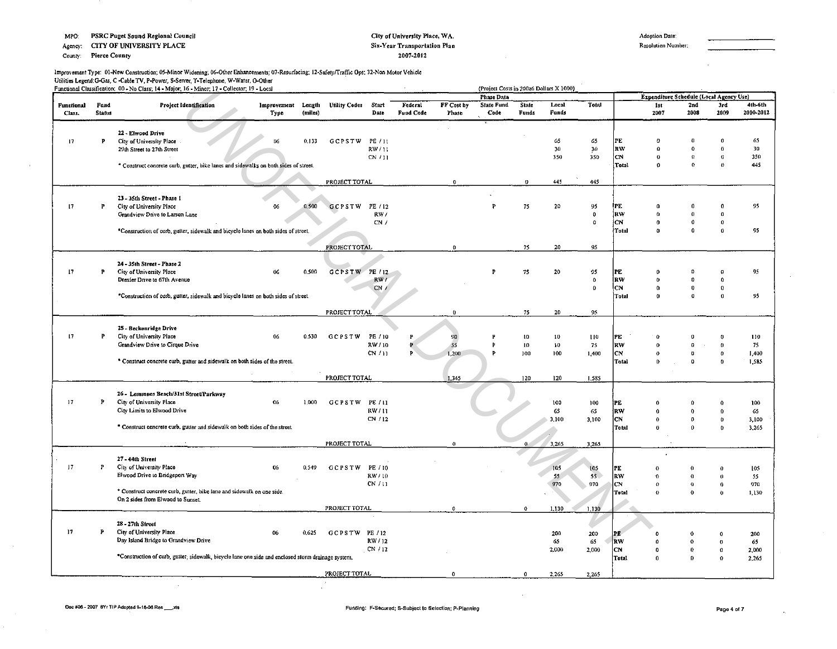Agency: CITY OF UNIVERSITY PLACE

County: Pierce County

#### City of University Place, WA. Six-Year Transportation Plan 2007-2012

**Adoption Date:** Resolution Number:

lmpro\'ement Type: 01-New Construction: 05-Minor Widening: 05-0ther Enhancements; 07·Resurfocing: 12·Safe1yfrraffic Ops; 32-Non Motor Vehicle Utilities Legend:G-Gas, C -Cable TV, P-Power, S-Sewer, T-Telephone, W-Water, O-Other Functional Classification: 00 - No Class: 14 - Maior: 16 - Minor: 17 - Collector: 19 - Local

|            |               | Functional Classification: 00 - No Class; 14 - Major; 16 - Minor; 17 - Collector; 19 - Local       |                    |         |                      |         |           |                | (Project Costs in 200z6 Dollars X 1000) |              |        |                 |              |                                                |              |              |           |
|------------|---------------|----------------------------------------------------------------------------------------------------|--------------------|---------|----------------------|---------|-----------|----------------|-----------------------------------------|--------------|--------|-----------------|--------------|------------------------------------------------|--------------|--------------|-----------|
| Functional | Fund          | Project Identification                                                                             | Improvement Length |         | <b>Utility Codes</b> | Start   | Federal   | FF Cost by     | Phase Data<br>State Fund                | <b>State</b> | Local  | Total           |              | Expenditure Schedule (Local Agency Use)<br>1st | 2nd          | 3rd          | 4th-6th   |
| Class.     | <b>Starus</b> |                                                                                                    | Type               | (miles) |                      | Date    | Fund Code | Phase          | Code                                    | Funds        | Funds  |                 |              | 2007                                           | 2008         | 2009         | 2010-2012 |
|            |               | 22 - Elwood Drive                                                                                  |                    |         |                      |         |           |                |                                         |              |        |                 |              |                                                |              |              |           |
| 17         | P             | City of University Place                                                                           | 06                 | 0.133   | <b>GCPSTW</b>        | PE / 11 |           |                |                                         |              | 65     | 65              | PE           | $\theta$                                       | $\Omega$     |              | 65        |
|            |               | 29th Street to 27th Street                                                                         |                    |         |                      | RW/11   |           |                |                                         |              | 30     | 30 <sub>1</sub> | RW           | $\Omega$                                       | $\mathbf{v}$ |              | 30        |
|            |               |                                                                                                    |                    |         |                      | CN/11   |           |                |                                         |              | 350    | 350             | CN           | $^{\circ}$                                     | $\Omega$     | $\mathbf{0}$ | 350       |
|            |               | * Construct concrete curb, gutter, bike lanes and sidewalks on both sides of street.               |                    |         |                      |         |           |                |                                         |              |        |                 | Total        | $\theta$                                       | $\Omega$     | $\theta$     | 445       |
|            |               |                                                                                                    |                    |         | PROJECT TOTAL        |         |           | O.             |                                         | 0            | 445    | 445             |              |                                                |              |              |           |
|            |               | 23 - 35th Street - Phase I                                                                         |                    |         |                      |         |           |                |                                         |              |        |                 |              |                                                |              |              |           |
| 17         | P             | City of University Place                                                                           | 06                 | 0.500   | GCPSTW PE/12         |         |           |                | p                                       | 75           | 20     | 95              | PE           | $\Omega$                                       | $\Omega$     | n            | 95        |
|            |               | Grandview Drive to Larson Lane                                                                     |                    |         |                      | RW/     |           |                |                                         |              |        | $\mathbf 0$     | ¦RW          | $\alpha$                                       | $\Omega$     | o            |           |
|            |               |                                                                                                    |                    |         |                      | CN/     |           |                |                                         |              |        | $\Omega$        | lcN          | $\theta$                                       | $\mathbf{0}$ | $\Omega$     |           |
|            |               | *Construction of curb, gutter, sidewalk and bicycle lanes on both sides of street.                 |                    |         |                      |         |           |                |                                         |              |        |                 | Total        | $\Omega$                                       | $\mathbf 0$  | $\theta$     | 95        |
|            |               |                                                                                                    |                    |         | PROJECT TOTAL        |         |           | $\mathbf{0}$   |                                         | 75           | 20     | 95              |              |                                                |              |              |           |
|            |               | 24 - 35th Street - Phase 2                                                                         |                    |         |                      |         |           |                |                                         |              |        |                 |              |                                                |              |              |           |
| 17         | P             | City of University Place                                                                           | $06\,$             | 0.500   | GCPSTW PE/12         |         |           |                | P                                       | 75           | 20     | 95              | РE           | 0                                              |              | $\bullet$    | 95        |
|            |               | Drexler Drive to 67th Avenue                                                                       |                    |         |                      | RW/     |           |                |                                         |              |        | $\mathbf 0$     | RW           |                                                | Ď            | $\Omega$     |           |
|            |               |                                                                                                    |                    |         |                      | CN/     |           |                |                                         |              |        | $\bf{0}$        | CN           | $\Omega$                                       | $\bf{0}$     | $\Omega$     |           |
|            |               | *Construction of curb, gutter, sidewalk and bicycle lanes on both sides of street.                 |                    |         |                      |         |           |                |                                         |              |        |                 | <b>Total</b> | $\theta$                                       | $\bf{0}$     | $\Omega$     | 95        |
|            |               |                                                                                                    |                    |         |                      |         |           |                |                                         |              |        |                 |              |                                                |              |              |           |
|            |               |                                                                                                    |                    |         | PROJECT TOTAL        |         |           | $\mathbf{0}$   |                                         | 75           | 20     | 95              |              |                                                |              |              |           |
|            |               | 25 - Beckonridge Drive                                                                             |                    |         |                      |         |           |                |                                         |              |        |                 |              |                                                |              |              |           |
| 17         | P             | City of University Place                                                                           | 06                 | 0.530   | GCPSTW               | PE / 10 | P         | 90             |                                         | 10           | $10\,$ | 110             | PE           | G                                              |              |              | 110       |
|            |               | Grandview Drive to Cirque Drive                                                                    |                    |         |                      | RW / 10 |           | 55             |                                         | 10           | 10     | 75              | RW           | $\Omega$                                       | $\Omega$     |              | 75        |
|            |               |                                                                                                    |                    |         |                      | CN/11   | Þ         | 1,200          |                                         | 100          | 100    | 1,400           | CN           | $\theta$                                       | o            | $\Omega$     | 1,400     |
|            |               | * Construct concrete curb, gutter and sidewalk on both sides of the street.                        |                    |         |                      |         |           |                |                                         |              |        |                 | Total        | $\mathbf{D}$                                   | $\mathbf{Q}$ | $\mathbf{r}$ | 1,585     |
|            |               |                                                                                                    |                    |         |                      |         |           |                |                                         |              |        |                 |              |                                                |              |              |           |
|            |               |                                                                                                    |                    |         | PROJECT TOTAL        |         |           | 1,345          |                                         | 120          | 120    | 1,585           |              |                                                |              |              |           |
|            |               | 26 - Lemmons Beach/31st Street/Parkway                                                             |                    |         |                      |         |           |                |                                         |              |        |                 |              |                                                |              |              |           |
| 17         | P             | City of University Place                                                                           | 06                 | 1.000   | GCPSTW PE/11         |         |           |                |                                         |              | 100    | 100             | PE           | 0                                              |              |              | 100       |
|            |               | City Limits to Elwood Drive                                                                        |                    |         |                      | RW/11   |           |                |                                         |              | 65     | 65              | RW           | O                                              |              | $\Omega$     | 65        |
|            |               |                                                                                                    |                    |         |                      | CN/12   |           |                |                                         |              | 3,100  | 3,100           | CN           | $\theta$                                       | $\mathbf{a}$ | $\bf{0}$     | 3,100     |
|            |               | * Construct concrete curb, gutter and sidewalk on both sides of the street.                        |                    |         |                      |         |           |                |                                         |              |        |                 | Total        | O                                              | $\Omega$     | O.           | 3,265     |
|            |               |                                                                                                    |                    |         |                      |         |           |                |                                         |              |        |                 |              |                                                |              |              |           |
|            |               |                                                                                                    |                    |         | PROJECT TOTAL        |         |           |                |                                         | $\mathbf{0}$ | 3,265  | 3,265           |              |                                                |              |              |           |
|            |               | 27 - 44th Street                                                                                   |                    |         |                      |         |           |                |                                         |              |        |                 |              |                                                |              |              |           |
| 17         | P             | City of University Place                                                                           | 06                 | 0.549   | <b>GCPSTW</b>        | PE / 10 |           |                |                                         |              | 105    | 105             | PE           | $^{\circ}$                                     |              |              | 105       |
|            |               | Elwood Drive to Bridgeport Way                                                                     |                    |         |                      | RW/10   |           |                |                                         |              | 55     | 55.             | kw.          | $\Omega$                                       | o            | $\mathbf{a}$ | 55        |
|            |               |                                                                                                    |                    |         |                      | CN/11   |           |                |                                         |              | 970    | 970             | CN           | O                                              | $\theta$     | 0            | 970       |
|            |               | * Construct concrete curb, gutter, bike lane and sidewalk on one side.                             |                    |         |                      |         |           |                |                                         |              |        |                 | Tetal        | $\Omega$                                       | $\theta$     |              | 1,130     |
|            |               | On 2 sides from Elwood to Sunset.                                                                  |                    |         |                      |         |           |                |                                         |              |        |                 |              |                                                |              |              |           |
|            |               |                                                                                                    |                    |         | PROJECT TOTAL        |         |           | $\mathbf{a}$   |                                         | $\bf{0}$     | 1,130  | 1,130           |              |                                                |              |              |           |
|            |               | 28 - 27th Street                                                                                   |                    |         |                      |         |           |                |                                         |              |        |                 |              |                                                |              |              |           |
| 17         | P             | City of University Place                                                                           | 06                 | 0.625   | GCPSTW PE/12         |         |           |                |                                         |              | 200    | 200             | IP E         |                                                |              |              | 200       |
|            |               | Day Island Bridge to Grandview Drive                                                               |                    |         |                      | RW / 12 |           |                |                                         |              | 65     | 65              | <b>nw</b>    | $\boldsymbol{\theta}$                          |              | o            | 65        |
|            |               |                                                                                                    |                    |         |                      | CN / 12 |           |                |                                         |              | 2,000  | 2,000           | CN.          | $\mathbf 0$                                    |              | $\Omega$     | 2,000     |
|            |               | *Construction of curb, gutter, sidewalk, bicycle lane one side and enclosed storm drainage system. |                    |         |                      |         |           |                |                                         |              |        |                 | Total        | $\boldsymbol{0}$                               | $\Omega$     |              | 2.265     |
|            |               |                                                                                                    |                    |         |                      |         |           |                |                                         |              |        |                 |              |                                                |              |              |           |
|            |               |                                                                                                    |                    |         | PROJECT TOTAL        |         |           | $\overline{a}$ |                                         | $\Omega$     | 2,265  | 2,265           |              |                                                |              |              |           |

 $\rightarrow$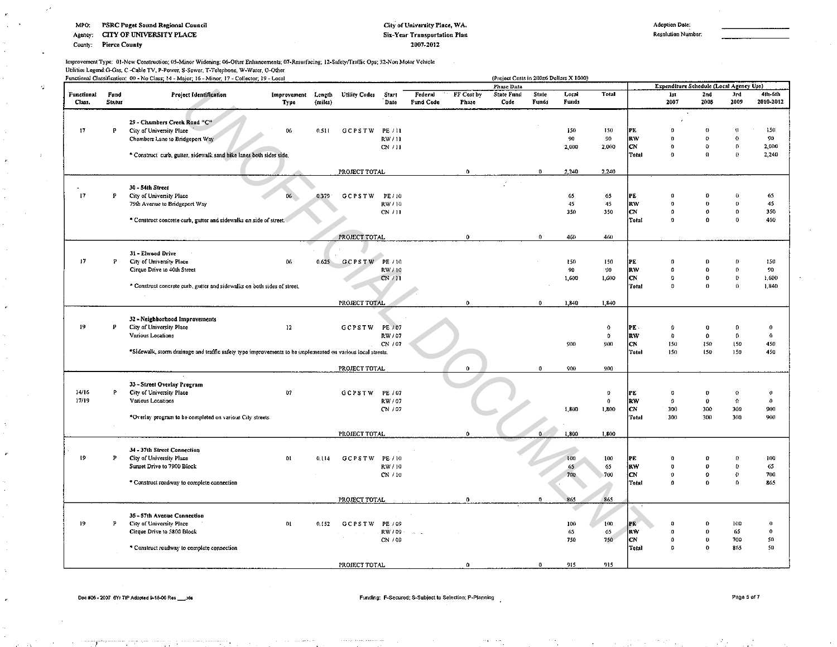Agency: CITY OF UNIVERSITY PLACE

County: Pierce County

-d

### City of University Place, WA. Six-Year Transportation Plan 2007-2012

Resolution Number:

Improvement Type: Ol·New Construction; OS·Minor Widening; 06-0ther Enhancements; 07-Resurfacing: 12·Safetyfrraffic Ops; 32-Non Motor Vehicle

Utilities Legend:G-Gas, C -Cable TV, P-Power, S-Sewer. T-Telephone, W-Water, O-Other

|            |               | Functional Classification: 00 - No Class; 14 - Major; 16 - Minor; 17 - Collector; 19 - Local               |             |         |                      |         | (Project Costs in 200z6 Dollars X 1000) |              |                   |          |       |              | Expenditure Schedule (Local Agency Use) |              |                  |          |              |  |
|------------|---------------|------------------------------------------------------------------------------------------------------------|-------------|---------|----------------------|---------|-----------------------------------------|--------------|-------------------|----------|-------|--------------|-----------------------------------------|--------------|------------------|----------|--------------|--|
|            |               |                                                                                                            |             |         |                      |         |                                         |              | <b>Phase Data</b> |          |       |              |                                         |              |                  |          |              |  |
| Functional | Fund          | Project Identification                                                                                     | Improvement | Length  | <b>Utility Codes</b> | Start   | Federal                                 | FF Cost by   | <b>State Fund</b> | State    | Local | Total        |                                         | 1st          | 2nd              | 3rd      | 4th-6th      |  |
| Class.     | <b>Status</b> |                                                                                                            | Type        | (miles) |                      | Date    | Fund Code                               | Phase        | Code              | Funds    | Funds |              |                                         | 2007         | 2008             | 2009     | 2010-2012    |  |
|            |               |                                                                                                            |             |         |                      |         |                                         |              |                   |          |       |              |                                         |              |                  |          |              |  |
|            |               | 29 - Chambers Creek Road "C"                                                                               |             |         |                      |         |                                         |              |                   |          |       |              |                                         |              |                  |          |              |  |
| 17         | P             | City of University Place                                                                                   | 06          | 0.511   | GCPSTW               | PE / 11 |                                         |              |                   |          | 150   | 150          | PE                                      | $\theta$     | $^{\circ}$       |          | 150          |  |
|            |               | Chambers Lane to Bridgeport Way                                                                            |             |         |                      | RW / 11 |                                         |              |                   |          | 90    | 90           | <b>RW</b>                               | $\theta$     | $\mathbf{o}$     | o        | 90           |  |
|            |               |                                                                                                            |             |         |                      | CN / 11 |                                         |              |                   |          | 2,000 | 2,000        | lcv                                     | $\theta$     | $\bf{G}$         | $\theta$ | 2,000        |  |
|            |               | * Construct curb, gutter, sidewalk sand bike lanes both sides side.                                        |             |         |                      |         |                                         |              |                   |          |       |              | Total                                   | $\theta$     | $\Omega$         | $\theta$ | 2,240        |  |
|            |               |                                                                                                            |             |         |                      |         |                                         |              |                   |          |       |              |                                         |              |                  |          |              |  |
|            |               |                                                                                                            |             |         | PROJECT TOTAL        |         |                                         | $\mathbf{0}$ |                   | $\bf{0}$ | 2,240 | 2,240        |                                         |              |                  |          |              |  |
|            |               |                                                                                                            |             |         |                      |         |                                         |              |                   |          |       |              |                                         |              |                  |          |              |  |
|            |               | 30 - 54th Street                                                                                           |             |         |                      |         |                                         |              | $\mathcal{F}$     |          |       |              |                                         |              |                  |          |              |  |
| 17         | P             | City of University Place                                                                                   | 06          | 0.379   | GCPSTW               | PE / 10 |                                         |              |                   |          | 65    | 65           | PE                                      | 0            |                  |          | 65           |  |
|            |               | 79th Avenue to Bridgeport Way                                                                              |             |         |                      | RW / 10 |                                         |              |                   |          | 45    | 45           | <b>IRW</b>                              | $\Omega$     | n                |          | 45           |  |
|            |               |                                                                                                            |             |         |                      | CN / 11 |                                         |              |                   |          | 350   | 350          | lcn                                     | $\Omega$     | $\bf{0}$         | $\bf{0}$ | 350          |  |
|            |               | * Construct concrete curb, gutter and sidewalks on side of street.                                         |             |         |                      |         |                                         |              |                   |          |       |              | Total                                   | $\theta$     | n                | $\Omega$ | 460          |  |
|            |               |                                                                                                            |             |         |                      |         |                                         |              |                   |          |       |              |                                         |              |                  |          |              |  |
|            |               |                                                                                                            |             |         |                      |         |                                         |              |                   |          |       |              |                                         |              |                  |          |              |  |
|            |               |                                                                                                            |             |         | <b>PROJECT TOTAL</b> |         |                                         | $\mathbf{0}$ |                   | $\theta$ | 460   | 460          |                                         |              |                  |          |              |  |
|            |               |                                                                                                            |             |         |                      |         |                                         |              |                   |          |       |              |                                         |              |                  |          |              |  |
|            |               | 31 - Elwood Drive                                                                                          |             |         |                      |         |                                         |              |                   |          |       |              |                                         |              |                  |          |              |  |
| 17         | P             | City of University Place                                                                                   | 06          | 0.625   | <b>GCPSTW</b>        | PE / 10 |                                         |              |                   |          | 150   | 150          | PE                                      | $\Omega$     |                  |          | 150          |  |
|            |               | Cirque Drive to 40th Street                                                                                |             |         |                      | RW/10   |                                         |              |                   |          | 90    | 90           | RW                                      | $\Omega$     | $\Omega$         | $\Omega$ | 90           |  |
|            |               |                                                                                                            |             |         |                      | CN/11   |                                         |              |                   |          | 1,600 | 1,600        | <b>CN</b>                               | $\mathbf{Q}$ | $\theta$         | $\bf{0}$ | 1,600        |  |
|            |               | * Construct concrete curb, gutter and sidewalks on both sides of street.                                   |             |         |                      |         |                                         |              |                   |          |       |              | Total                                   | $\Omega$     | $\Omega$         | $\Omega$ | 1,340        |  |
|            |               |                                                                                                            |             |         |                      |         |                                         |              |                   |          |       |              |                                         |              |                  |          |              |  |
|            |               |                                                                                                            |             |         | PROJECT TOTAL        |         |                                         | $\mathbf{0}$ |                   | $\bf{0}$ | 1,840 | 1,840        |                                         |              |                  |          |              |  |
|            |               |                                                                                                            |             |         |                      |         |                                         |              |                   |          |       |              |                                         |              |                  |          |              |  |
|            |               | 32 - Neighborhood Improvements                                                                             |             |         |                      |         |                                         |              |                   |          |       |              |                                         |              |                  |          |              |  |
| 19         | P             | City of University Place                                                                                   | 12          |         | GCPSTW               | PE / 07 |                                         |              |                   |          |       | o            | PE.                                     | $\Omega$     | $\bf{0}$         |          | $\theta$     |  |
|            |               | Various Locations                                                                                          |             |         |                      | RW / 07 |                                         |              |                   |          |       | 0            | <b>RW</b>                               | $\mathbf{a}$ | $\boldsymbol{0}$ | $\Omega$ | $\mathbf{0}$ |  |
|            |               |                                                                                                            |             |         |                      | CN / 07 |                                         |              |                   |          | 900   | 900          | lc N                                    | 150          | 150              | 150      | 450          |  |
|            |               | *Sidewalk, storm drainage and traffic safely type improvements to be implemented on various local streets. |             |         |                      |         |                                         |              |                   |          |       |              | Total                                   | 150          | 150              | 150      | 450          |  |
|            |               |                                                                                                            |             |         |                      |         |                                         |              |                   |          |       |              |                                         |              |                  |          |              |  |
|            |               |                                                                                                            |             |         | PROJECT TOTAL        |         |                                         | $\Omega$     |                   | $\bf{0}$ | 900   | 900          |                                         |              |                  |          |              |  |
|            |               |                                                                                                            |             |         |                      |         |                                         |              |                   |          |       |              |                                         |              |                  |          |              |  |
|            |               | 33 - Street Overlay Program                                                                                |             |         |                      |         |                                         |              |                   |          |       |              |                                         |              |                  |          |              |  |
| 14/16      | P.            | City of University Place                                                                                   | 07          |         | GCPSTW               | PE / 07 |                                         |              |                   |          |       | $\mathbf{0}$ | PE                                      | $\theta$     | $\Omega$         | $\Omega$ | $\theta$     |  |
| 17/19      |               | Various Locations                                                                                          |             |         |                      | RW / 07 |                                         |              |                   |          |       | 0            | <b>RW</b>                               | $\Omega$     | $\mathbf{0}$     | Ó        | $\Omega$     |  |
|            |               |                                                                                                            |             |         |                      |         |                                         |              |                   |          | 1.800 | 1.800        | lcN.                                    | 300          | 300              | 300      | 900          |  |
|            |               |                                                                                                            |             |         |                      | CN / 07 |                                         |              |                   |          |       |              | Total                                   | 300          | 300              | 300      | 900          |  |
|            |               | *Overlay program to be completed on various City streets.                                                  |             |         |                      |         |                                         |              |                   |          |       |              |                                         |              |                  |          |              |  |
|            |               |                                                                                                            |             |         |                      |         |                                         |              |                   |          |       |              |                                         |              |                  |          |              |  |
|            |               |                                                                                                            |             |         | PROJECT TOTAL        |         |                                         | $\mathbf{0}$ |                   | Λ.       | 1,800 | 1,800        |                                         |              |                  |          |              |  |
|            |               |                                                                                                            |             |         |                      |         |                                         |              |                   |          |       |              |                                         |              |                  |          |              |  |
|            |               | 34 - 37th Street Connection                                                                                |             |         |                      |         |                                         |              |                   |          |       |              |                                         |              |                  |          |              |  |
| 19         | $\mathbf{P}$  | City of University Place                                                                                   | 01          | 0.114   | GCPSTW PE/10         |         |                                         |              |                   |          | 100   | 100          | PE                                      | 0            | $\Omega$         | O        | 100          |  |
|            |               | Sunset Drive to 7900 Block                                                                                 |             |         |                      | RW / 10 |                                         |              |                   |          | 65    | 65           | <b>RW</b>                               | $\mathbf{a}$ | $\Omega$         | $\theta$ | 65           |  |
|            |               |                                                                                                            |             |         |                      | CN / 10 |                                         |              |                   |          | 700   | 700          | łсN.                                    | $\theta$     | $\mathbf{o}$     | $\Omega$ | 700          |  |
|            |               | * Construct roadway to complete connection                                                                 |             |         |                      |         |                                         |              |                   |          |       |              | İ Total                                 | $\theta$     | $\theta$         | $\Omega$ | 865          |  |
|            |               |                                                                                                            |             |         |                      |         |                                         |              |                   |          |       |              |                                         |              |                  |          |              |  |
|            |               |                                                                                                            |             |         | PROJECT TOTAL        |         |                                         | n.           |                   | n        | 865   | 865          |                                         |              |                  |          |              |  |
|            |               |                                                                                                            |             |         |                      |         |                                         |              |                   |          |       |              |                                         |              |                  |          |              |  |
|            |               | 35 - 57th Avenue Connection                                                                                |             |         |                      |         |                                         |              |                   |          |       |              |                                         |              |                  |          |              |  |
| 19         | $\mathbf{F}$  | City of University Place                                                                                   | 01          | 0.152   | GCPSTW               | PE / 09 |                                         |              |                   |          | 100   | 100          | PE                                      | $\mathbf 0$  |                  | 100      | $\theta$     |  |
|            |               | Cirque Drive to 5800 Block                                                                                 |             |         |                      | RW / 09 |                                         |              |                   |          | 65    | 65           | <b>RW</b>                               | $\mathbf 0$  | $\Omega$         | 65       | $\mathbf{0}$ |  |
|            |               |                                                                                                            |             |         |                      | CN / 09 |                                         |              |                   |          | -750  | 750          | lcv                                     | $\Omega$     | $\mathbf{D}$     | 700      | 50           |  |
|            |               | * Construct roadway to complete connection                                                                 |             |         |                      |         |                                         |              |                   |          |       |              | Total                                   | $\Omega$     | $\Omega$         | 865      | 50           |  |
|            |               |                                                                                                            |             |         |                      |         |                                         |              |                   |          |       |              |                                         |              |                  |          |              |  |
|            |               |                                                                                                            |             |         | PROJECT TOTAL        |         |                                         | $\Delta$     |                   | n.       | 915   | 915          |                                         |              |                  |          |              |  |
|            |               |                                                                                                            |             |         |                      |         |                                         |              |                   |          |       |              |                                         |              |                  |          |              |  |

--) -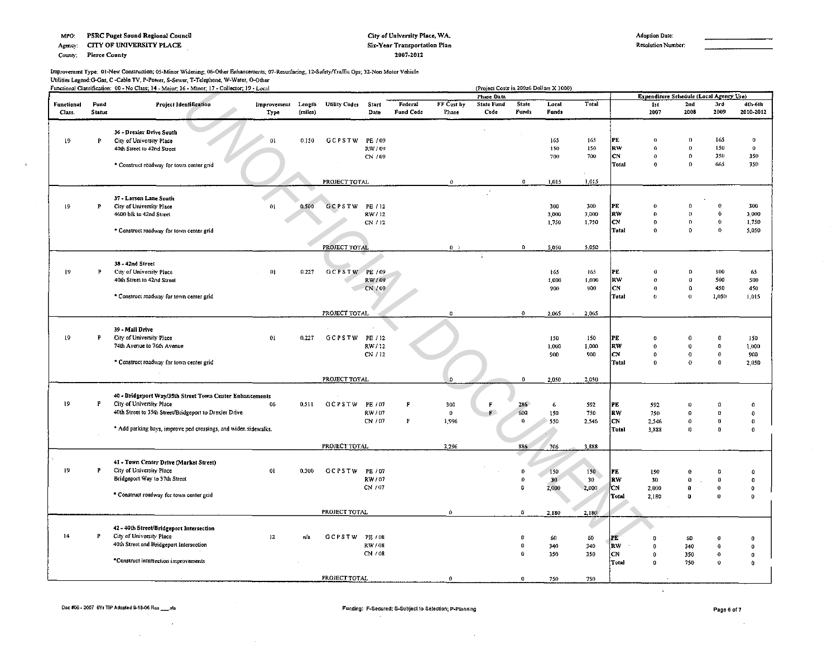Agency: CITY OF UNIVERSITY PLACE

County: Pierce County

 $\mathbf{r}$ 

#### City of University Place, WA. Six-Year Transportation Plan 1007-2011

Adoption Dale: Resolution Number·

# Improvement Type: 01-New Construction; 05-Minor Widening; 06-Other Enhancements; 07-Resurfacing; 12-Safety/Fraffic Ops; 32-Non Motor Vehicle Utilities Legend:G-Gas, C ·Cable TV, P·Power. S·Sewer, T·Telephone, W·Water, 0-Qther

|                             |                       | Functional Classification: 00 - No Class; 14 - Major; 16 - Minor; 17 - Collector; 19 - Local |                     |                   |                      |                    |                      |                     | (Project Costs in 200z6 Dollars X 1000)<br><b>Phase Data</b> |                       |                           |              |                    | Expenditure Schedule (Local Agency Use) |                          |                      |                              |
|-----------------------------|-----------------------|----------------------------------------------------------------------------------------------|---------------------|-------------------|----------------------|--------------------|----------------------|---------------------|--------------------------------------------------------------|-----------------------|---------------------------|--------------|--------------------|-----------------------------------------|--------------------------|----------------------|------------------------------|
| <b>Functional</b><br>Class. | Fund<br><b>Status</b> | Project Identification                                                                       | Improvement<br>Type | Length<br>(miles) | <b>Utility Codes</b> | Start<br>Date      | Federal<br>Fund Code | FF Cost by<br>Phase | <b>State Fund</b><br>Code                                    | <b>State</b><br>Funds | Local<br>Funds            | Total        |                    | 1st<br>2007                             | 2nd<br>2008              | 3rd<br>2009          | 4th-6th<br>2010-2012         |
|                             |                       |                                                                                              |                     |                   |                      |                    |                      |                     |                                                              |                       |                           |              |                    |                                         |                          |                      |                              |
| 19                          | P                     | 36 - Drexler Drive South<br>City of University Place                                         | $^{\Omega}$         | 0.150             | GCPSTW               | PE / 09            |                      |                     |                                                              |                       | 165                       | 165          | PE                 | $\theta$                                | $\Omega$                 | 165                  | $\theta$                     |
|                             |                       | 40th Street to 42nd Street                                                                   |                     |                   |                      | RW / 09            |                      |                     |                                                              |                       | 150                       | 150          | irw                | $\Omega$                                | $\Omega$                 | 150                  | $\mathbf{0}$                 |
|                             |                       |                                                                                              |                     |                   |                      | CN / 09            |                      |                     |                                                              |                       | 700                       | 700          | lCN.               | 0                                       | $\bf{0}$                 | 350                  | 350                          |
|                             |                       | * Construct roadway for town center grid                                                     |                     |                   |                      |                    |                      |                     |                                                              |                       |                           |              | Total              | $\mathbf{a}$                            | $\Omega$                 | 665                  | 350                          |
|                             |                       |                                                                                              |                     |                   |                      |                    |                      |                     |                                                              |                       |                           |              |                    |                                         |                          |                      |                              |
|                             |                       |                                                                                              |                     |                   | PROJECT TOTAL        |                    |                      | $\Omega$            |                                                              | $\Omega$              | 1,015                     | 1,015        |                    |                                         |                          |                      |                              |
|                             |                       | 37 - Larson Lane South                                                                       |                     |                   |                      |                    |                      |                     |                                                              |                       |                           |              |                    |                                         |                          |                      |                              |
| 19                          | Þ                     | City of University Place                                                                     | 01                  | 0.500             | <b>GCPSTW</b>        | PE / 12            |                      |                     |                                                              |                       | 300                       | 300          | PE                 | $\theta$                                | $\Omega$                 | $\mathbf 0$          | 300                          |
|                             |                       | 4600 blk to 42nd Street                                                                      |                     |                   |                      | RW / 12            |                      |                     |                                                              |                       | 3,000                     | 3,000        | RW                 | $\Omega$                                | $\Omega$                 | $\Omega$             | 3,000                        |
|                             |                       |                                                                                              |                     |                   |                      | CN / 12            |                      |                     |                                                              |                       | 1,750                     | 1,750        | <b>CN</b><br>Total | 0<br>0                                  | $\mathbf{0}$<br>$\Omega$ | $\theta$<br>$\Omega$ | 1,750<br>5,050               |
|                             |                       | * Construct roadway for town center grid                                                     |                     |                   |                      |                    |                      |                     |                                                              |                       |                           |              |                    |                                         |                          |                      |                              |
|                             |                       |                                                                                              |                     |                   | PROJECT TOTAL        |                    |                      | $0$ $\rightarrow$   |                                                              | $\bf{0}$              | 5,050                     | 5,050        |                    |                                         |                          |                      |                              |
|                             |                       |                                                                                              |                     |                   |                      |                    |                      |                     |                                                              |                       |                           |              |                    |                                         |                          |                      |                              |
|                             |                       | 38 - 42nd Street                                                                             |                     |                   |                      |                    |                      |                     |                                                              |                       |                           |              |                    |                                         |                          |                      |                              |
| -19                         | P                     | City of University Place<br>40th Street to 42nd Street                                       | 0 <sub>1</sub>      | 0.227             | GCPSTW PE / 09       | RW / 09            |                      |                     |                                                              |                       | 165<br>1,000              | 165<br>1,000 | IPE.<br> RW        | o<br>O.                                 | $\mathbf{0}$             | 100<br>500           | 65<br>500                    |
|                             |                       |                                                                                              |                     |                   |                      | CN 709             |                      |                     |                                                              |                       | 900                       | 900          | CN.                | 0                                       | $\mathbf 0$              | 450                  | 450                          |
|                             |                       | * Construct roadway for town center grid                                                     |                     |                   |                      |                    |                      |                     |                                                              |                       |                           |              | Total              | $\Omega$                                | $\theta$                 | 1,050                | 1.015                        |
|                             |                       |                                                                                              |                     |                   |                      |                    |                      |                     |                                                              |                       |                           |              |                    |                                         |                          |                      |                              |
|                             |                       |                                                                                              |                     |                   | PROJECT TOTAL        |                    |                      | $\mathbf{0}$        |                                                              | $^{\circ}$            | 2,065                     | 2.065        |                    |                                         |                          |                      |                              |
|                             |                       | 39 - Mall Drive                                                                              |                     |                   |                      |                    |                      |                     |                                                              |                       |                           |              |                    |                                         |                          |                      |                              |
| 19                          | P                     | City of University Place                                                                     | 01                  | 0.227             | GCPSTW PE/12         |                    |                      |                     |                                                              |                       | 150                       | 150          | PE.                | o                                       |                          | $\Omega$             | 150                          |
|                             |                       | 74th Avenue to 76th Avenue                                                                   |                     |                   |                      | RW/12              |                      |                     |                                                              |                       | 1,000                     | 1,000        | RW                 | Ô                                       | $\bf{0}$                 | $\mathbf 0$          | 1.000                        |
|                             |                       |                                                                                              |                     |                   |                      | CN / 12            |                      |                     |                                                              |                       | 900                       | 900          | CN                 | $\ddot{\mathbf{0}}$                     | $\bf 0$                  | $\bf{0}$             | 900                          |
|                             |                       | * Construct roadway for town center grid                                                     |                     |                   |                      |                    |                      |                     |                                                              |                       |                           |              | Total              | D,                                      | $\alpha$                 | $\bf{0}$             | 2,050                        |
|                             |                       |                                                                                              |                     |                   | PROJECT TOTAL        |                    |                      | $\Omega$            |                                                              | $\mathbf{0}$          | 2,050                     | 2,050        |                    |                                         |                          |                      |                              |
|                             |                       |                                                                                              |                     |                   |                      |                    |                      |                     |                                                              |                       |                           |              |                    |                                         |                          |                      |                              |
|                             |                       | 40 - Bridgeport Way/35th Street Town Center Enhancements                                     |                     |                   |                      |                    |                      |                     |                                                              |                       |                           |              |                    |                                         |                          |                      |                              |
| 19                          | F                     | City of University Place                                                                     | 06                  | 0.511             | GCPSTW PE/07         |                    |                      | 300                 | $\mathbf{F}$                                                 | 286                   | 6                         | 592          | PE.                | 592                                     | $\bf{D}$                 | $\Omega$             | $\bf{0}$                     |
|                             |                       | 40th Street to 35th Street/Bridgeport to Drexler Drive                                       |                     |                   |                      | RW / 07<br>CN / 07 | F                    | $\bf{0}$<br>1,996   | F.                                                           | 600<br>0              | 150<br>550                | 750<br>2,546 | RW.<br>CN          | 750                                     | $\mathbf{v}$<br>0        | ₩<br>0               | $\theta$<br>$\boldsymbol{0}$ |
|                             |                       | * Add parking bays, improve ped crossings, and widen sidewalks.                              |                     |                   |                      |                    |                      |                     |                                                              |                       |                           |              | Total              | 2,546<br>3,888                          | $\mathbf{D}$             | $\mathbf{0}$         | $\theta$                     |
|                             |                       |                                                                                              |                     |                   |                      |                    |                      |                     |                                                              |                       |                           |              |                    |                                         |                          |                      |                              |
|                             |                       |                                                                                              |                     |                   | PROJECT TOTAL        |                    |                      | 2,256               |                                                              | 886                   | 706                       | 3.888        |                    |                                         |                          |                      |                              |
|                             |                       |                                                                                              |                     |                   |                      |                    |                      |                     |                                                              |                       |                           |              |                    |                                         |                          |                      |                              |
| 19 <sup>°</sup>             | P                     | 41 - Town Center Drive (Market Street)<br>City of University Place                           | 01                  | 0.300             | GCPSTW               | PE / 07            |                      |                     |                                                              | 0                     |                           | 150          | PE                 |                                         | 0                        | $^{\circ}$           |                              |
|                             |                       | Bridgeport Way to 37th Street                                                                |                     |                   |                      | RW/07              |                      |                     |                                                              | $\Omega$              | $-150$<br>30 <sup>2</sup> | 30           | RW                 | 150<br>30                               | $\Omega$                 | $\bf{0}$             | 0<br>$\mathbf 0$             |
|                             |                       |                                                                                              |                     |                   |                      | CN / 07            |                      |                     |                                                              | $\Omega$              | 2,000                     | 2.000        | łсм                | 2,000                                   | 0                        | $\Omega$             | $\mathbf 0$                  |
|                             |                       | * Construct roadway for town center grid                                                     |                     |                   |                      |                    |                      |                     |                                                              |                       |                           |              | Total              | 2,180                                   | 0                        | $\bf{0}$             | $\mathbf{0}$                 |
|                             |                       |                                                                                              |                     |                   |                      |                    |                      |                     |                                                              |                       |                           |              |                    |                                         |                          |                      |                              |
|                             |                       |                                                                                              |                     |                   | PROJECT TOTAL        |                    |                      | $\Omega$            |                                                              | $\ddot{\mathbf{0}}$   | 2,180                     | 2,180        |                    |                                         |                          |                      |                              |
|                             |                       | 42 - 40th Street/Bridgeport Intersection                                                     |                     |                   |                      |                    |                      |                     |                                                              |                       |                           |              |                    |                                         |                          |                      |                              |
| 14                          | P                     | City of University Place                                                                     | 12                  | n/a               | GCPSTW               | PE / 08            |                      |                     |                                                              | $\Omega$              | 60                        | 60           | PE                 |                                         | 60                       |                      | O                            |
|                             |                       | 40th Street and Bridgeport Intersection                                                      |                     |                   |                      | RW/08              |                      |                     |                                                              | $\mathbf 0$           | 340                       | 340          | <b>RW</b>          | $\Omega$                                | 340                      | $\Omega$             | $\mathbf{0}$                 |
|                             |                       | *Construct intersection improvements                                                         |                     |                   |                      | CN / 08            |                      |                     |                                                              | $\bf{0}$              | 350                       | 350          | CN                 | $\Omega$                                | 350                      | O.                   | $\boldsymbol{0}$             |
|                             |                       |                                                                                              |                     |                   |                      |                    |                      |                     |                                                              |                       |                           |              | ¦Total             | $\bf{0}$                                | 750                      | O.                   | $\theta$                     |
|                             |                       |                                                                                              |                     |                   | PROJECT TOTAL        |                    |                      | $\Omega$            |                                                              | $\pmb{0}$             | 750                       | 750          |                    |                                         |                          |                      |                              |
|                             |                       |                                                                                              |                     |                   |                      |                    |                      |                     |                                                              |                       |                           |              |                    |                                         |                          |                      |                              |

 $\sim$ 

 $\sim$ 

 $\bar{z}$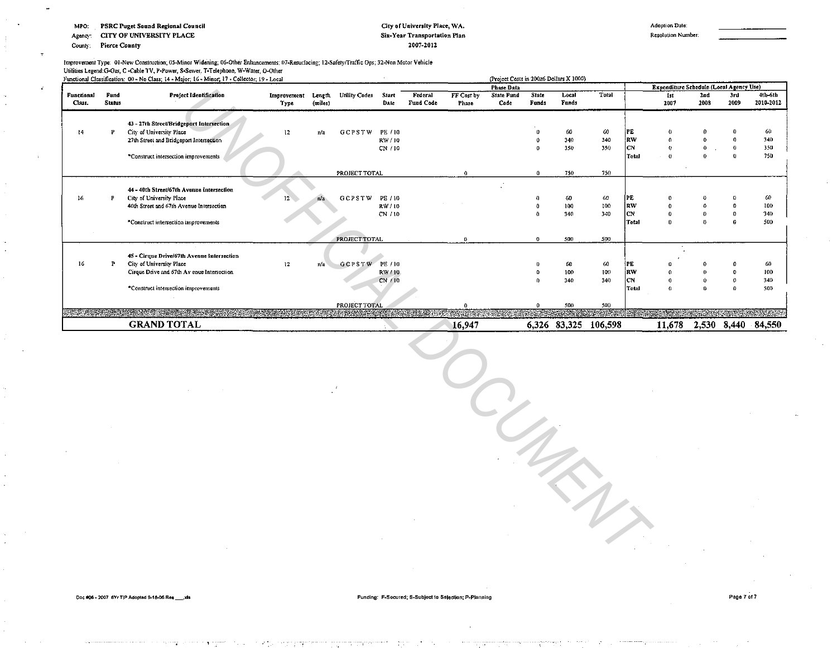**PSRC Puget Sound Regional Council** MPO:

**CITY OF UNIVERSITY PLACE** Agency:

**Pierce County** County:

÷.

#### City of University Place, WA. Six-Year Transportation Plan 2007-2012

Resolution Number.

Improvement Type: 01-New Construction; 05-Minor Widening; 06-Other Enhancements; 07-Resurfacing; 12-Safety/Traffic Ops; 32-Non Motor Vehicle Utilities Legend: G-Gas, C -Cable TV, P-Power, S-Sewer, T-Telephone, W-Water, O-Other

|                      |                       | Functional Classification: 00 - No Class; 14 - Major; 16 - Minor; 17 - Collector; 19 - Local                    |                     |                   |               |                  |                      |                     | (Project Costs in 200z6 Dollars X 1000) |                       |                      |           |                   |                                         |                     |             |                      |
|----------------------|-----------------------|-----------------------------------------------------------------------------------------------------------------|---------------------|-------------------|---------------|------------------|----------------------|---------------------|-----------------------------------------|-----------------------|----------------------|-----------|-------------------|-----------------------------------------|---------------------|-------------|----------------------|
|                      |                       |                                                                                                                 |                     |                   |               |                  |                      |                     | <b>Phase Data</b>                       |                       |                      |           |                   | Expenditure Schedule (Local Agency Use) |                     |             |                      |
| Functional<br>Class. | Fund<br><b>Status</b> | <b>Project Identification</b>                                                                                   | Improvement<br>Туте | Length<br>(miles) | Utility Codes | Start<br>Date    | Federal<br>Fund Code | FF Cost by<br>Phase | <b>State Fund</b><br>Code               | <b>State</b><br>Funds | Local<br>Funds       | Total     |                   | Ist<br>2007                             | 2nd<br>2008         | 3rd<br>2009 | 4th-6th<br>2010-2012 |
| t4                   | D                     | 43 - 27th Street/Bridgeport Intersection<br>City of University Place<br>27th Street and Bridgeport Intersection | 12                  | n/a               | <b>GCPSTW</b> | PE / 10<br>RW/10 |                      |                     |                                         |                       | 60<br>340            | 60<br>340 | IPE<br><b>IRW</b> | $^{\circ}$                              | $\Omega$            |             | 60<br>340            |
|                      |                       |                                                                                                                 |                     |                   |               | CN / 10          |                      |                     |                                         |                       | 350                  | 350       | <b>ICN</b>        | $\Omega$                                |                     |             | 350                  |
|                      |                       | *Construct intersection improvements                                                                            |                     |                   |               |                  |                      |                     |                                         |                       |                      |           | Total             | $\alpha$                                | Ω                   |             | 750                  |
|                      |                       |                                                                                                                 |                     |                   | PROJECT TOTAL |                  |                      | $\theta$            |                                         | 0                     | 750                  | 750       |                   |                                         |                     |             |                      |
|                      |                       | 44 - 40th Street/67th Avenue Intersection                                                                       |                     |                   |               |                  |                      |                     |                                         |                       |                      |           |                   |                                         |                     |             |                      |
| 16                   |                       | City of University Place                                                                                        | $12^{\circ}$        | n/a               | GCPSTW        | PE / 10          |                      |                     |                                         |                       | 60                   | 60        | PE                |                                         |                     |             | 60                   |
|                      |                       | 40th Street and 67th Avenue Intersection                                                                        |                     |                   |               | RW/10            |                      |                     |                                         |                       | 100                  | 100       | RW                |                                         | $\ddot{\mathbf{0}}$ |             | 100                  |
|                      |                       |                                                                                                                 |                     |                   |               | CN / 10          |                      |                     |                                         |                       | 340                  | 340       | <b>ICN</b>        |                                         | $\Omega$            |             | 340                  |
|                      |                       | *Construct intersection improvements                                                                            |                     |                   |               |                  |                      |                     |                                         |                       |                      |           | Total             | $\Omega$                                | $\mathbf{a}$        |             | 500                  |
|                      |                       |                                                                                                                 |                     |                   | PROJECT TOTAL |                  |                      | 0                   |                                         |                       | 500                  | 500       |                   |                                         |                     |             |                      |
|                      |                       | 45 - Cirque Drive/67th Avenue Intersection                                                                      |                     |                   |               |                  |                      |                     |                                         |                       |                      |           |                   |                                         |                     |             |                      |
| 16                   |                       | City of University Place                                                                                        | 12                  | n/a               | GCPSTW PE/10  |                  |                      |                     |                                         |                       | 60                   | 60        | <b>IPE</b>        |                                         |                     |             | 60                   |
|                      |                       | Cirque Drive and 67th Av enue Intersection                                                                      |                     |                   |               | RW / 10          |                      |                     |                                         |                       | 100                  | 100       | <b>RW</b>         | $\mathbf{0}$                            | $\mathbf{D}$        |             | 100                  |
|                      |                       |                                                                                                                 |                     |                   |               | CN/10            |                      |                     |                                         |                       | 340                  | 340       | <b>ICN</b>        |                                         |                     |             | 340                  |
|                      |                       | *Construct intersection improvements                                                                            |                     |                   |               |                  |                      |                     |                                         |                       |                      |           | Total             | $\theta$                                | $\Omega$            |             | 500                  |
|                      |                       |                                                                                                                 |                     |                   | PROJECT TOTAL |                  |                      |                     |                                         |                       | 500                  | 500       |                   |                                         |                     |             |                      |
|                      |                       |                                                                                                                 |                     |                   |               |                  |                      |                     |                                         |                       |                      | A. Politi |                   |                                         |                     |             | ambanan              |
|                      |                       | <b>GRAND TOTAL</b>                                                                                              |                     |                   |               |                  |                      | 16.947              |                                         |                       | 6,326 83,325 106,598 |           |                   | 11,678                                  |                     |             | 2,530 8,440 84,550   |

Page 7 of 7